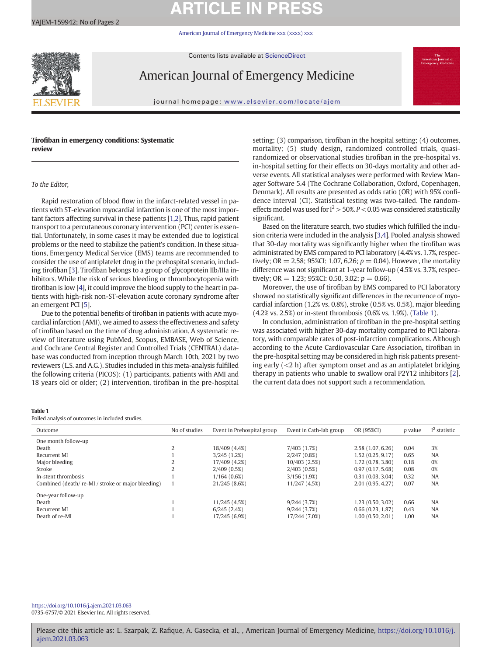# **ARTICLE IN PR**

[American Journal of Emergency Medicine xxx \(xxxx\) xxx](https://doi.org/10.1016/j.ajem.2021.03.063)

Contents lists available at ScienceDirect



American Journal of Emergency Medicine

journal homepage: <www.elsevier.com/locate/ajem>

# Tirofiban in emergency conditions: Systematic review

### To the Editor,

Rapid restoration of blood flow in the infarct-related vessel in patients with ST-elevation myocardial infarction is one of the most important factors affecting survival in these patients [[1](#page-1-0),[2](#page-1-0)]. Thus, rapid patient transport to a percutaneous coronary intervention (PCI) center is essential. Unfortunately, in some cases it may be extended due to logistical problems or the need to stabilize the patient's condition. In these situations, Emergency Medical Service (EMS) teams are recommended to consider the use of antiplatelet drug in the prehospital scenario, including tirofiban [\[3\]](#page-1-0). Tirofiban belongs to a group of glycoprotein IIb/IIIa inhibitors. While the risk of serious bleeding or thrombocytopenia with tirofiban is low [\[4\]](#page-1-0), it could improve the blood supply to the heart in patients with high-risk non-ST-elevation acute coronary syndrome after an emergent PCI [\[5\]](#page-1-0).

Due to the potential benefits of tirofiban in patients with acute myocardial infarction (AMI), we aimed to assess the effectiveness and safety of tirofiban based on the time of drug administration. A systematic review of literature using PubMed, Scopus, EMBASE, Web of Science, and Cochrane Central Register and Controlled Trials (CENTRAL) database was conducted from inception through March 10th, 2021 by two reviewers (L.S. and A.G.). Studies included in this meta-analysis fulfilled the following criteria (PICOS): (1) participants, patients with AMI and 18 years old or older; (2) intervention, tirofiban in the pre-hospital setting; (3) comparison, tirofiban in the hospital setting; (4) outcomes, mortality; (5) study design, randomized controlled trials, quasirandomized or observational studies tirofiban in the pre-hospital vs. in-hospital setting for their effects on 30-days mortality and other adverse events. All statistical analyses were performed with Review Manager Software 5.4 (The Cochrane Collaboration, Oxford, Copenhagen, Denmark). All results are presented as odds ratio (OR) with 95% confidence interval (CI). Statistical testing was two-tailed. The randomeffects model was used for  $I^2 > 50\%$ .  $P < 0.05$  was considered statistically significant.

Based on the literature search, two studies which fulfilled the inclusion criteria were included in the analysis [[3](#page-1-0),[4](#page-1-0)]. Pooled analysis showed that 30-day mortality was significantly higher when the tirofiban was administrated by EMS compared to PCI laboratory (4.4% vs. 1.7%, respectively; OR = 2.58; 95%CI: 1.07, 6.26;  $p = 0.04$ ). However, the mortality difference was not significant at 1-year follow-up (4.5% vs. 3.7%, respectively; OR = 1.23; 95%CI: 0.50, 3.02;  $p = 0.66$ ).

Moreover, the use of tirofiban by EMS compared to PCI laboratory showed no statistically significant differences in the recurrence of myocardial infarction (1.2% vs. 0.8%), stroke (0.5% vs. 0.5%), major bleeding (4.2% vs. 2.5%) or in-stent thrombosis (0.6% vs. 1.9%). (Table 1).

In conclusion, administration of tirofiban in the pre-hospital setting was associated with higher 30-day mortality compared to PCI laboratory, with comparable rates of post-infarction complications. Although according to the Acute Cardiovascular Care Association, tirofiban in the pre-hospital setting may be considered in high risk patients presenting early  $(< 2 h$ ) after symptom onset and as an antiplatelet bridging therapy in patients who unable to swallow oral P2Y12 inhibitors [[2](#page-1-0)], the current data does not support such a recommendation.

### Table 1

Polled analysis of outcomes in included studies.

| Outcome                                         | No of studies  | Event in Prehospital group | Event in Cath-lab group | OR (95%CI)        | <i>p</i> value | $I2$ statistic |
|-------------------------------------------------|----------------|----------------------------|-------------------------|-------------------|----------------|----------------|
| One month follow-up                             |                |                            |                         |                   |                |                |
| Death                                           |                | 18/409 (4.4%)              | 7/403 (1.7%)            | 2.58 (1.07, 6.26) | 0.04           | 3%             |
| Recurrent MI                                    |                | 3/245(1.2%)                | 2/247(0.8%)             | 1.52 (0.25, 9.17) | 0.65           | <b>NA</b>      |
| Major bleeding                                  |                | 17/409 (4.2%)              | 10/403 (2.5%)           | 1.72 (0.78, 3.80) | 0.18           | 0%             |
| Stroke                                          | $\overline{2}$ | 2/409(0.5%)                | 2/403(0.5%)             | 0.97(0.17, 5.68)  | 0.08           | 0%             |
| In-stent thrombosis                             |                | 1/164(0.6%)                | 3/156(1.9%)             | 0.31(0.03, 3.04)  | 0.32           | <b>NA</b>      |
| Combined (death/re-MI/stroke or major bleeding) |                | 21/245 (8.6%)              | 11/247 (4.5%)           | 2.01(0.95, 4.27)  | 0.07           | <b>NA</b>      |
| One-year follow-up                              |                |                            |                         |                   |                |                |
| Death                                           |                | 11/245 (4.5%)              | 9/244(3.7%)             | 1.23(0.50, 3.02)  | 0.66           | <b>NA</b>      |
| Recurrent MI                                    |                | 6/245(2.4%)                | 9/244(3.7%)             | 0.66(0.23, 1.87)  | 0.43           | <b>NA</b>      |
| Death of re-MI                                  |                | 17/245 (6.9%)              | 17/244 (7.0%)           | 1.00(0.50, 2.01)  | 1.00           | <b>NA</b>      |

<https://doi.org/10.1016/j.ajem.2021.03.063> 0735-6757/© 2021 Elsevier Inc. All rights reserved.